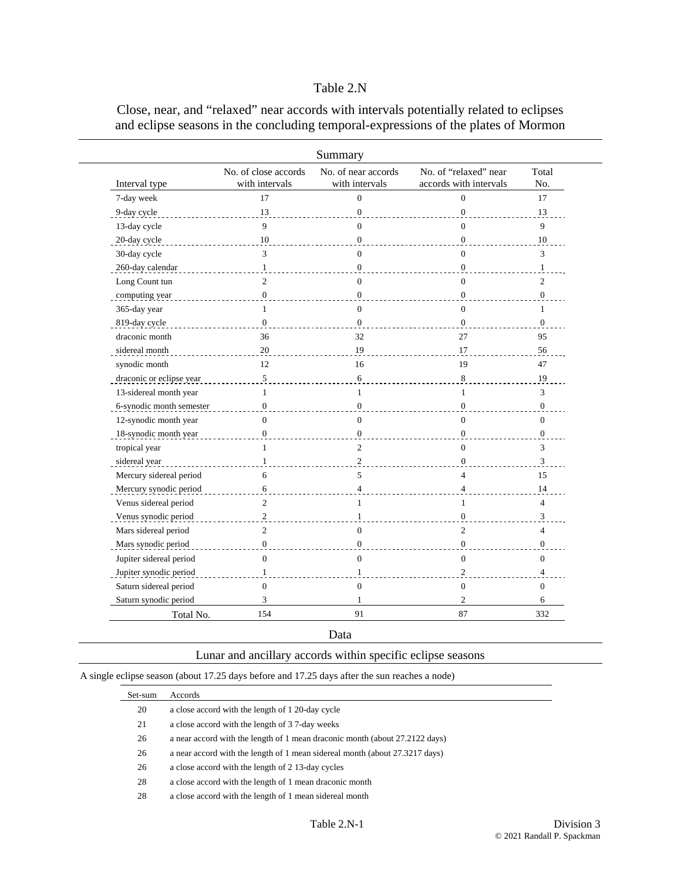## Table 2.N

Close, near, and "relaxed" near accords with intervals potentially related to eclipses and eclipse seasons in the concluding temporal-expressions of the plates of Mormon

|                          |                                        | Summary                               |                                                 |                          |
|--------------------------|----------------------------------------|---------------------------------------|-------------------------------------------------|--------------------------|
| Interval type            | No. of close accords<br>with intervals | No. of near accords<br>with intervals | No. of "relaxed" near<br>accords with intervals | Total<br>No.             |
| 7-day week               | 17                                     | $\overline{0}$                        | $\overline{0}$                                  | 17                       |
| 9-day cycle              | 13                                     | $\Omega$                              | $\overline{0}$                                  | 13                       |
| 13-day cycle             | $\mathbf Q$                            | $\theta$                              | $\Omega$                                        | 9                        |
| 20-day cycle             | 10                                     | $\mathbf{0}$                          | $\overline{0}$                                  | 10                       |
| 30-day cycle             | 3                                      | $\theta$                              | $\Omega$                                        | 3                        |
| 260-day calendar         | 1                                      | $\Omega$                              | $\overline{0}$                                  | 1                        |
| Long Count tun           | $\overline{2}$                         | $\theta$                              | $\Omega$                                        | $\overline{c}$           |
| computing year           | $\mathbf{0}$                           | $\overline{0}$                        | $\overline{0}$                                  | $\boldsymbol{0}$         |
| 365-day year             | $\mathbf{1}$                           | $\theta$                              | $\Omega$                                        | 1                        |
| 819-day cycle            | $\mathbf{0}$                           | $\Omega$                              | $\Omega$                                        | $\Omega$                 |
| draconic month           | 36                                     | 32                                    | 27                                              | 95                       |
| sidereal month           | 20                                     | 19                                    | 17                                              | 56                       |
| synodic month            | 12                                     | 16                                    | 19                                              | 47                       |
| draconic or eclipse year | 5                                      | 6                                     | 8                                               | 19                       |
| 13-sidereal month year   | $\mathbf{1}$                           | $\mathbf{1}$                          | $\mathbf{1}$                                    | 3                        |
| 6-synodic month semester | $\Omega$                               | $\Omega$                              | $\overline{0}$                                  | $\overline{0}$           |
| 12-synodic month year    | $\theta$                               | $\theta$                              | $\Omega$                                        | $\theta$                 |
| 18-synodic month year    | $\overline{0}$                         | $\Omega$                              | $\overline{0}$                                  | $\mathbf{0}$             |
| tropical year            | $\mathbf{1}$                           | $\overline{2}$                        | $\Omega$                                        | 3                        |
| sidereal year            | 1                                      | $\overline{2}$                        | $\Omega$                                        | 3                        |
| Mercury sidereal period  | 6                                      | 5                                     | $\overline{4}$                                  | 15                       |
| Mercury synodic period   | 6                                      | $\overline{\mathbf{4}}$               | $\overline{4}$                                  | 14                       |
| Venus sidereal period    | $\overline{2}$                         | 1                                     | 1                                               | $\overline{4}$           |
| Venus synodic period     | $\overline{c}$                         | 1                                     | $\overline{0}$                                  | 3                        |
| Mars sidereal period     | $\overline{2}$                         | $\theta$                              | $\overline{c}$                                  | $\overline{\mathcal{L}}$ |
| Mars synodic period      | $\overline{0}$                         | $\mathbf{0}$                          | $\boldsymbol{0}$                                | $\boldsymbol{0}$         |
| Jupiter sidereal period  | $\Omega$                               | $\theta$                              | $\mathbf{0}$                                    | $\mathbf{0}$             |
| Jupiter synodic period   | 1                                      | 1                                     | $\overline{2}$                                  | $\overline{4}$           |
| Saturn sidereal period   | $\mathbf{0}$                           | $\overline{0}$                        | $\overline{0}$                                  | $\mathbf{0}$             |
| Saturn synodic period    | 3                                      | 1                                     | $\overline{c}$                                  | 6                        |
| Total No.                | 154                                    | 91                                    | 87                                              | 332                      |

Data

A single eclipse season (about 17.25 days before and 17.25 days after the sun reaches a node)

| Set-sum | Accords                                                                     |
|---------|-----------------------------------------------------------------------------|
| 20      | a close accord with the length of 1 20-day cycle                            |
| 21      | a close accord with the length of 37-day weeks                              |
| 26      | a near accord with the length of 1 mean draconic month (about 27.2122 days) |
| 26      | a near accord with the length of 1 mean sidereal month (about 27.3217 days) |
| 26      | a close accord with the length of 2 13-day cycles                           |
| 28      | a close accord with the length of 1 mean draconic month                     |
| 28      | a close accord with the length of 1 mean sidereal month                     |
|         |                                                                             |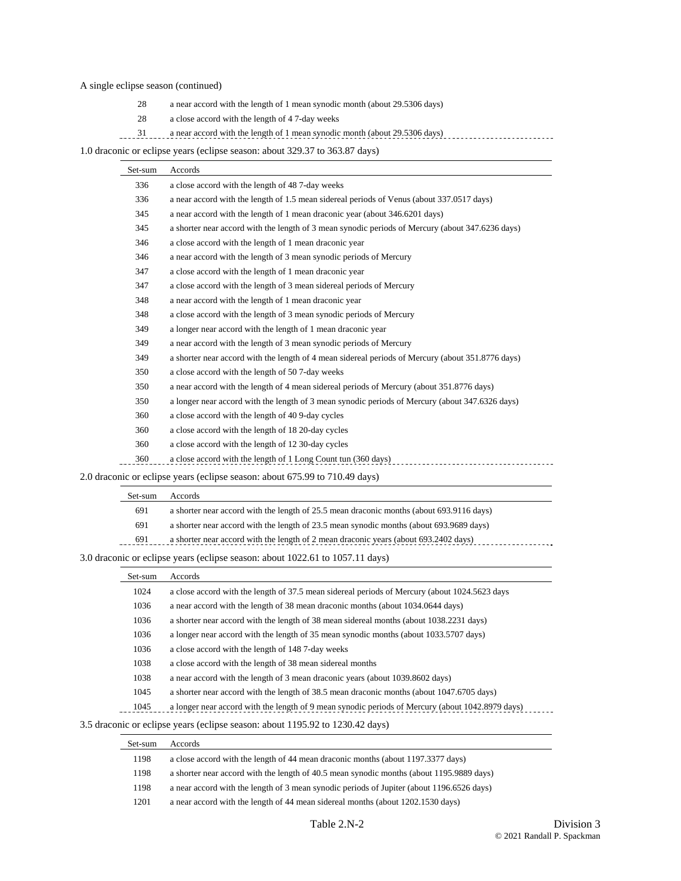### A single eclipse season (continued)

 $\overline{\phantom{0}}$ 

- 28 a near accord with the length of 1 mean synodic month (about 29.5306 days)
- 28 a close accord with the length of 4 7-day weeks
- 1. 31 a near accord with the length of 1 mean synodic month (about 29.5306 days) .............................

1.0 draconic or eclipse years (eclipse season: about 329.37 to 363.87 days)

| Set-sum | Accords                                                                                           |
|---------|---------------------------------------------------------------------------------------------------|
| 336     | a close accord with the length of 487-day weeks                                                   |
| 336     | a near accord with the length of 1.5 mean sidereal periods of Venus (about 337.0517 days)         |
| 345     | a near accord with the length of 1 mean draconic year (about 346.6201 days)                       |
| 345     | a shorter near accord with the length of 3 mean synodic periods of Mercury (about 347.6236 days)  |
| 346     | a close accord with the length of 1 mean draconic year                                            |
| 346     | a near accord with the length of 3 mean synodic periods of Mercury                                |
| 347     | a close accord with the length of 1 mean draconic year                                            |
| 347     | a close accord with the length of 3 mean sidereal periods of Mercury                              |
| 348     | a near accord with the length of 1 mean draconic year                                             |
| 348     | a close accord with the length of 3 mean synodic periods of Mercury                               |
| 349     | a longer near accord with the length of 1 mean draconic year                                      |
| 349     | a near accord with the length of 3 mean synodic periods of Mercury                                |
| 349     | a shorter near accord with the length of 4 mean sidereal periods of Mercury (about 351.8776 days) |
| 350     | a close accord with the length of 50 7-day weeks                                                  |
| 350     | a near accord with the length of 4 mean sidereal periods of Mercury (about 351.8776 days)         |
| 350     | a longer near accord with the length of 3 mean synodic periods of Mercury (about 347.6326 days)   |
| 360     | a close accord with the length of 40 9-day cycles                                                 |
| 360     | a close accord with the length of 18 20-day cycles                                                |
| 360     | a close accord with the length of 12 30-day cycles                                                |
| 360     | a close accord with the length of 1 Long Count tun (360 days)                                     |

2.0 draconic or eclipse years (eclipse season: about 675.99 to 710.49 days)

| Set-sum | Accords                                                                                  |
|---------|------------------------------------------------------------------------------------------|
| 691     | a shorter near accord with the length of 25.5 mean draconic months (about 693.9116 days) |
| 691     | a shorter near accord with the length of 23.5 mean synodic months (about 693.9689 days)  |
| 691     | a shorter near accord with the length of 2 mean draconic years (about 693.2402 days)     |

3.0 draconic or eclipse years (eclipse season: about 1022.61 to 1057.11 days)

| Set-sum | Accords                                                                                          |
|---------|--------------------------------------------------------------------------------------------------|
| 1024    | a close accord with the length of 37.5 mean sidereal periods of Mercury (about 1024.5623 days    |
| 1036    | a near accord with the length of 38 mean draconic months (about 1034.0644 days)                  |
| 1036    | a shorter near accord with the length of 38 mean sidereal months (about 1038.2231 days)          |
| 1036    | a longer near accord with the length of 35 mean synodic months (about 1033.5707 days)            |
| 1036    | a close accord with the length of 1487-day weeks                                                 |
| 1038    | a close accord with the length of 38 mean sidereal months                                        |
| 1038    | a near accord with the length of 3 mean draconic years (about 1039.8602 days)                    |
| 1045    | a shorter near accord with the length of 38.5 mean draconic months (about 1047.6705 days)        |
| 1045    | a longer near accord with the length of 9 mean synodic periods of Mercury (about 1042.8979 days) |

#### 3.5 draconic or eclipse years (eclipse season: about 1195.92 to 1230.42 days)

| Set-sum | Accords                                                                                   |
|---------|-------------------------------------------------------------------------------------------|
| 1198    | a close accord with the length of 44 mean draconic months (about 1197.3377 days)          |
| 1198    | a shorter near accord with the length of 40.5 mean synodic months (about 1195.9889 days)  |
| 1198    | a near accord with the length of 3 mean synodic periods of Jupiter (about 1196.6526 days) |
| 1201    | a near accord with the length of 44 mean sidereal months (about 1202.1530 days)           |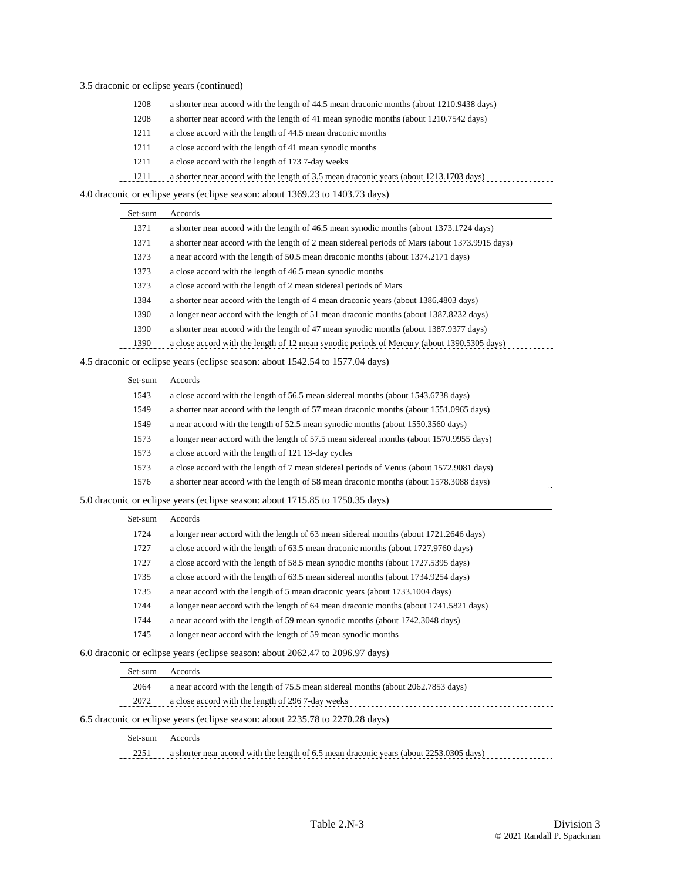### 3.5 draconic or eclipse years (continued)

- 1208 a shorter near accord with the length of 44.5 mean draconic months (about 1210.9438 days)
- 1208 a shorter near accord with the length of 41 mean synodic months (about 1210.7542 days)
- 1211 a close accord with the length of 44.5 mean draconic months
- 1211 a close accord with the length of 41 mean synodic months
- 1211 a close accord with the length of 173 7-day weeks

1211 a shorter near accord with the length of 3.5 mean draconic years (about 1213.1703 days)

4.0 draconic or eclipse years (eclipse season: about 1369.23 to 1403.73 days)

| Set-sum | Accords                                                                                         |
|---------|-------------------------------------------------------------------------------------------------|
| 1371    | a shorter near accord with the length of 46.5 mean synodic months (about 1373.1724 days)        |
| 1371    | a shorter near accord with the length of 2 mean sidereal periods of Mars (about 1373.9915 days) |
| 1373    | a near accord with the length of 50.5 mean draconic months (about 1374.2171 days)               |
| 1373    | a close accord with the length of 46.5 mean synodic months                                      |
| 1373    | a close accord with the length of 2 mean sidereal periods of Mars                               |
| 1384    | a shorter near accord with the length of 4 mean draconic years (about 1386.4803 days)           |
| 1390    | a longer near accord with the length of 51 mean draconic months (about 1387.8232 days)          |
| 1390    | a shorter near accord with the length of 47 mean synodic months (about 1387.9377 days)          |
| 1390    | a close accord with the length of 12 mean synodic periods of Mercury (about 1390.5305 days)     |
|         |                                                                                                 |

4.5 draconic or eclipse years (eclipse season: about 1542.54 to 1577.04 days)

| Set-sum | Accords                                                                                   |
|---------|-------------------------------------------------------------------------------------------|
| 1543    | a close accord with the length of 56.5 mean sidereal months (about 1543.6738 days)        |
| 1549    | a shorter near accord with the length of 57 mean draconic months (about 1551.0965 days)   |
| 1549    | a near accord with the length of 52.5 mean synodic months (about 1550.3560 days)          |
| 1573    | a longer near accord with the length of 57.5 mean sidereal months (about 1570.9955 days)  |
| 1573    | a close accord with the length of 121 13-day cycles                                       |
| 1573    | a close accord with the length of 7 mean sidereal periods of Venus (about 1572.9081 days) |
| 1576    | a shorter near accord with the length of 58 mean draconic months (about 1578.3088 days)   |
|         |                                                                                           |

5.0 draconic or eclipse years (eclipse season: about 1715.85 to 1750.35 days)

| Set-sum | Accords                                                                                |
|---------|----------------------------------------------------------------------------------------|
| 1724    | a longer near accord with the length of 63 mean sidereal months (about 1721.2646 days) |
| 1727    | a close accord with the length of 63.5 mean draconic months (about 1727.9760 days)     |
| 1727    | a close accord with the length of 58.5 mean synodic months (about 1727.5395 days)      |
| 1735    | a close accord with the length of 63.5 mean sidereal months (about 1734.9254 days)     |
| 1735    | a near accord with the length of 5 mean draconic years (about 1733.1004 days)          |
| 1744    | a longer near accord with the length of 64 mean draconic months (about 1741.5821 days) |
| 1744    | a near accord with the length of 59 mean synodic months (about 1742.3048 days)         |
| 1745    | a longer near accord with the length of 59 mean synodic months                         |
|         |                                                                                        |

6.0 draconic or eclipse years (eclipse season: about 2062.47 to 2096.97 days)

|                                                          | Set-sum | Accords                                                                                 |  |  |  |
|----------------------------------------------------------|---------|-----------------------------------------------------------------------------------------|--|--|--|
|                                                          | 2064    | a near accord with the length of 75.5 mean sidereal months (about 2062.7853 days)       |  |  |  |
| a close accord with the length of 2967-day weeks<br>2072 |         |                                                                                         |  |  |  |
|                                                          |         | 6.5 draconic or eclipse years (eclipse season: about 2235.78 to 2270.28 days)           |  |  |  |
| Set-sum<br>Accords                                       |         |                                                                                         |  |  |  |
|                                                          | 2251    | a shorter near accord with the length of 6.5 mean draconic years (about 2253.0305 days) |  |  |  |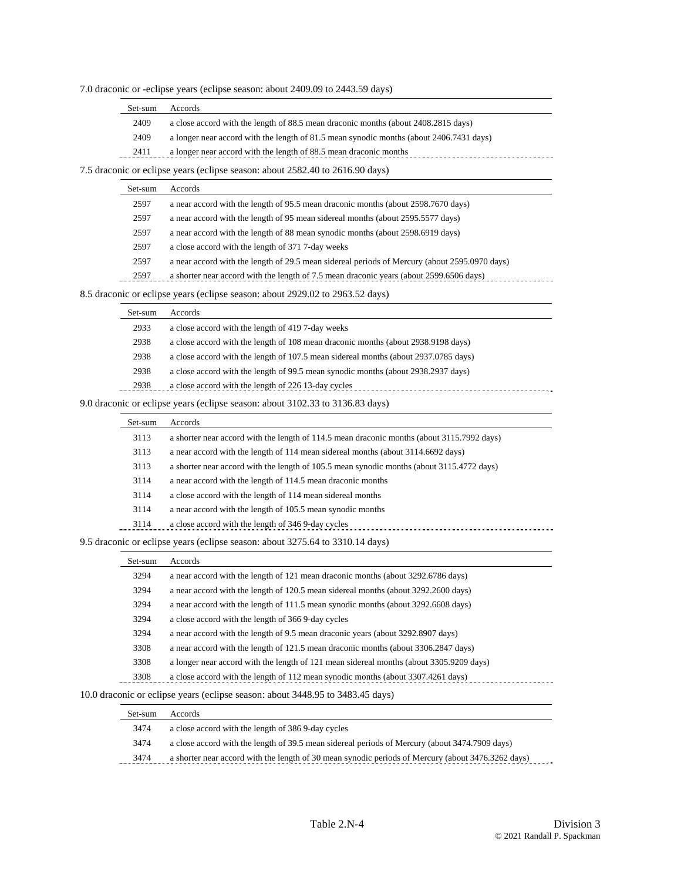|  |  |  | 7.0 draconic or -eclipse years (eclipse season: about 2409.09 to 2443.59 days) |  |
|--|--|--|--------------------------------------------------------------------------------|--|
|  |  |  |                                                                                |  |

| a close accord with the length of 88.5 mean draconic months (about 2408.2815 days)<br>2409<br>a longer near accord with the length of 81.5 mean synodic months (about 2406.7431 days)<br>2409 | Set-sum | Accords                                                           |
|-----------------------------------------------------------------------------------------------------------------------------------------------------------------------------------------------|---------|-------------------------------------------------------------------|
|                                                                                                                                                                                               |         |                                                                   |
|                                                                                                                                                                                               |         |                                                                   |
|                                                                                                                                                                                               | 2411    | a longer near accord with the length of 88.5 mean draconic months |

7.5 draconic or eclipse years (eclipse season: about 2582.40 to 2616.90 days)

| Set-sum | Accords                                                                                       |
|---------|-----------------------------------------------------------------------------------------------|
| 2597    | a near accord with the length of 95.5 mean draconic months (about 2598.7670 days)             |
| 2597    | a near accord with the length of 95 mean sidereal months (about 2595.5577 days)               |
| 2597    | a near accord with the length of 88 mean synodic months (about 2598.6919 days)                |
| 2597    | a close accord with the length of 371 7-day weeks                                             |
| 2597    | a near accord with the length of 29.5 mean sidereal periods of Mercury (about 2595.0970 days) |
| 2597    | a shorter near accord with the length of 7.5 mean draconic years (about 2599.6506 days)       |
|         | $\mu$ or estimas wears (estimas assessory about 2020 02 to 2062 52 deve)                      |

8.5 draconic or eclipse years (eclipse season: about 2929.02 to 2963.52 days)

| Set-sum | Accords                                                                             |
|---------|-------------------------------------------------------------------------------------|
| 2933    | a close accord with the length of 419 7-day weeks                                   |
| 2938    | a close accord with the length of 108 mean draconic months (about 2938.9198 days)   |
| 2938    | a close accord with the length of 107.5 mean sidereal months (about 2937.0785 days) |
| 2938    | a close accord with the length of 99.5 mean synodic months (about 2938.2937 days)   |
| 2938    | a close accord with the length of 226 13-day cycles                                 |
|         |                                                                                     |

9.0 draconic or eclipse years (eclipse season: about 3102.33 to 3136.83 days)

| Set-sum | Accords                                                                                    |
|---------|--------------------------------------------------------------------------------------------|
| 3113    | a shorter near accord with the length of 114.5 mean draconic months (about 3115.7992 days) |
| 3113    | a near accord with the length of 114 mean sidereal months (about 3114.6692 days)           |
| 3113    | a shorter near accord with the length of 105.5 mean synodic months (about 3115.4772 days)  |
| 3114    | a near accord with the length of 114.5 mean draconic months                                |
| 3114    | a close accord with the length of 114 mean sidereal months                                 |
| 3114    | a near accord with the length of 105.5 mean synodic months                                 |
| 3114    | a close accord with the length of 346 9-day cycles                                         |
|         |                                                                                            |

### 9.5 draconic or eclipse years (eclipse season: about 3275.64 to 3310.14 days)

| Set-sum | Accords                                                                                 |  |  |  |  |
|---------|-----------------------------------------------------------------------------------------|--|--|--|--|
| 3294    | a near accord with the length of 121 mean draconic months (about 3292.6786 days)        |  |  |  |  |
| 3294    | a near accord with the length of 120.5 mean sidereal months (about 3292.2600 days)      |  |  |  |  |
| 3294    | a near accord with the length of 111.5 mean synodic months (about 3292.6608 days)       |  |  |  |  |
| 3294    | a close accord with the length of 366 9-day cycles                                      |  |  |  |  |
| 3294    | a near accord with the length of 9.5 mean draconic years (about 3292.8907 days)         |  |  |  |  |
| 3308    | a near accord with the length of 121.5 mean draconic months (about 3306.2847 days)      |  |  |  |  |
| 3308    | a longer near accord with the length of 121 mean sidereal months (about 3305.9209 days) |  |  |  |  |
| 3308    | a close accord with the length of 112 mean synodic months (about 3307.4261 days)        |  |  |  |  |
|         |                                                                                         |  |  |  |  |

### 10.0 draconic or eclipse years (eclipse season: about 3448.95 to 3483.45 days)

| Set-sum | Accords                                                                                            |
|---------|----------------------------------------------------------------------------------------------------|
| 3474    | a close accord with the length of 3869-day cycles                                                  |
| 3474    | a close accord with the length of 39.5 mean sidereal periods of Mercury (about 3474.7909 days)     |
| 3474    | a shorter near accord with the length of 30 mean synodic periods of Mercury (about 3476.3262 days) |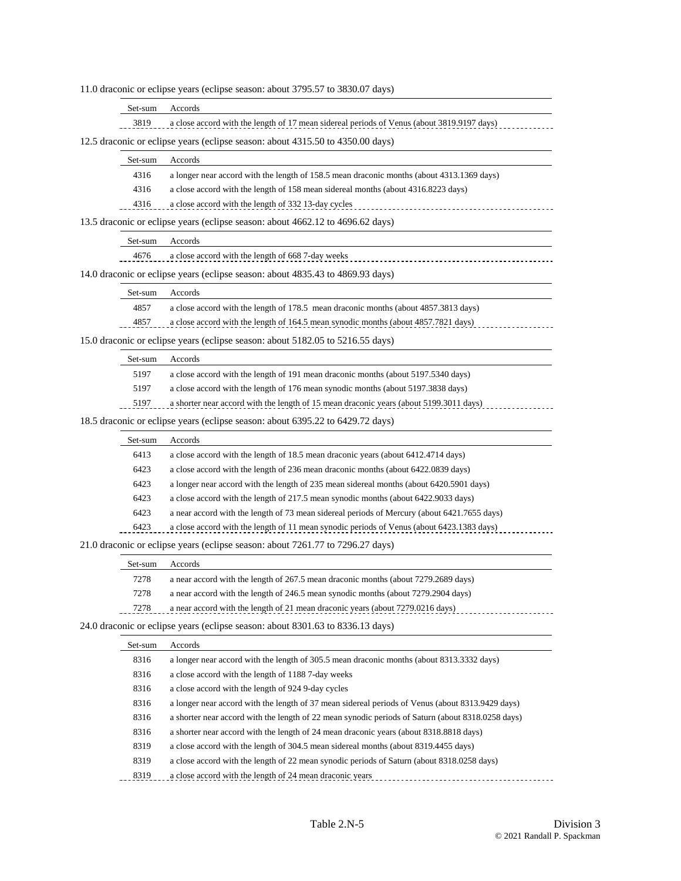11.0 draconic or eclipse years (eclipse season: about 3795.57 to 3830.07 days)

| Set-sum Accords |                                                                                                                                                                                |
|-----------------|--------------------------------------------------------------------------------------------------------------------------------------------------------------------------------|
| 3819            | a close accord with the length of 17 mean sidereal periods of Venus (about 3819.9197 days)<br>,但是,他们的人们就是一个人的人,但是,他们的人们就是一个人的人,但是,他们的人们就是一个人的人,但是,他们的人们就是一个人的人,他们的人们就是一个人的人,他们 |

12.5 draconic or eclipse years (eclipse season: about 4315.50 to 4350.00 days)

| Set-sum | Accords                                                                                   |
|---------|-------------------------------------------------------------------------------------------|
| 4316    | a longer near accord with the length of 158.5 mean draconic months (about 4313.1369 days) |
| 4316    | a close accord with the length of 158 mean sidereal months (about 4316.8223 days)         |
| 4316    | a close accord with the length of 332 13-day cycles                                       |
|         | 13.5 draconic or eclipse years (eclipse season: about 4662.12 to 4696.62 days)            |

| Set-sum | Accords                                           |
|---------|---------------------------------------------------|
| 4676    | a close accord with the length of 668 7-day weeks |

14.0 draconic or eclipse years (eclipse season: about 4835.43 to 4869.93 days)

| Set-sum    | Accords |  |  |  |
|------------|---------|--|--|--|
| $\sqrt{2}$ |         |  |  |  |

4857 a close accord with the length of 178.5 mean draconic months (about 4857.3813 days)

4857 a close accord with the length of 164.5 mean synodic months (about 4857.7821 days)

15.0 draconic or eclipse years (eclipse season: about 5182.05 to 5216.55 days)

|                                                                                | Set-sum | Accords                                                                                |
|--------------------------------------------------------------------------------|---------|----------------------------------------------------------------------------------------|
|                                                                                | 5197    | a close accord with the length of 191 mean draconic months (about 5197.5340 days)      |
|                                                                                | 5197    | a close accord with the length of 176 mean synodic months (about 5197.3838 days)       |
|                                                                                | 5197    | a shorter near accord with the length of 15 mean draconic years (about 5199.3011 days) |
| 18.5 draconic or eclipse years (eclipse season: about 6395.22 to 6429.72 days) |         |                                                                                        |

| Set-sum | Accords                                                                                     |
|---------|---------------------------------------------------------------------------------------------|
| 6413    | a close accord with the length of 18.5 mean draconic years (about 6412.4714 days)           |
| 6423    | a close accord with the length of 236 mean draconic months (about 6422.0839 days)           |
| 6423    | a longer near accord with the length of 235 mean sidereal months (about 6420.5901 days)     |
| 6423    | a close accord with the length of 217.5 mean synodic months (about 6422.9033 days)          |
| 6423    | a near accord with the length of 73 mean sidereal periods of Mercury (about 6421.7655 days) |
| 6423    | a close accord with the length of 11 mean synodic periods of Venus (about 6423.1383 days)   |
|         |                                                                                             |

### 21.0 draconic or eclipse years (eclipse season: about 7261.77 to 7296.27 days)

|                                                                                | Set-sum | Accords                                                                            |
|--------------------------------------------------------------------------------|---------|------------------------------------------------------------------------------------|
|                                                                                | 7278    | a near accord with the length of 267.5 mean draconic months (about 7279.2689 days) |
|                                                                                | 7278    | a near accord with the length of 246.5 mean synodic months (about 7279.2904 days)  |
|                                                                                | 7278    | a near accord with the length of 21 mean draconic years (about 7279.0216 days)     |
| 24.0 draconic or eclipse years (eclipse season: about 8301.63 to 8336.13 days) |         |                                                                                    |

| Set-sum | Accords                                                                                           |
|---------|---------------------------------------------------------------------------------------------------|
| 8316    | a longer near accord with the length of 305.5 mean draconic months (about 8313.3332 days)         |
| 8316    | a close accord with the length of 1188 7-day weeks                                                |
| 8316    | a close accord with the length of 924 9-day cycles                                                |
| 8316    | a longer near accord with the length of 37 mean sidereal periods of Venus (about 8313.9429 days)  |
| 8316    | a shorter near accord with the length of 22 mean synodic periods of Saturn (about 8318.0258 days) |
| 8316    | a shorter near accord with the length of 24 mean draconic years (about 8318.8818 days)            |
| 8319    | a close accord with the length of 304.5 mean sidereal months (about 8319.4455 days)               |
| 8319    | a close accord with the length of 22 mean synodic periods of Saturn (about 8318.0258 days)        |
| 8319    | a close accord with the length of 24 mean draconic years                                          |
|         |                                                                                                   |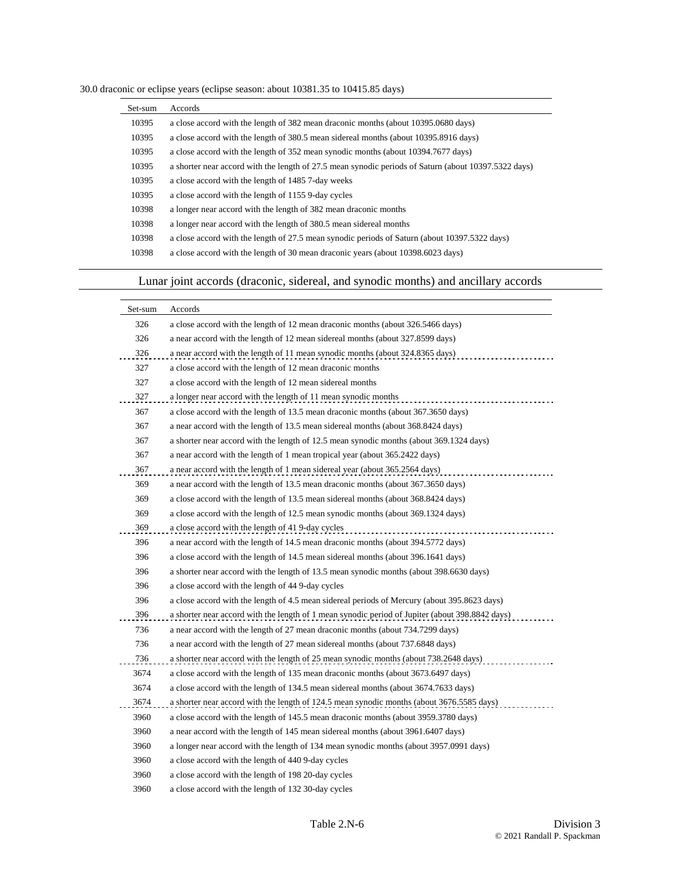| 30.0 draconic or eclipse years (eclipse season: about 10381.35 to 10415.85 days) |  |  |  |  |  |  |
|----------------------------------------------------------------------------------|--|--|--|--|--|--|
|----------------------------------------------------------------------------------|--|--|--|--|--|--|

| Set-sum | Accords                                                                                              |
|---------|------------------------------------------------------------------------------------------------------|
| 10395   | a close accord with the length of 382 mean draconic months (about 10395.0680 days)                   |
| 10395   | a close accord with the length of 380.5 mean sidereal months (about 10395.8916 days)                 |
| 10395   | a close accord with the length of 352 mean synodic months (about 10394.7677 days)                    |
| 10395   | a shorter near accord with the length of 27.5 mean synodic periods of Saturn (about 10397.5322 days) |
| 10395   | a close accord with the length of 1485 7-day weeks                                                   |
| 10395   | a close accord with the length of 1155 9-day cycles                                                  |
| 10398   | a longer near accord with the length of 382 mean draconic months                                     |
| 10398   | a longer near accord with the length of 380.5 mean sidereal months                                   |
| 10398   | a close accord with the length of 27.5 mean synodic periods of Saturn (about 10397.5322 days)        |
| 10398   | a close accord with the length of 30 mean draconic years (about 10398.6023 days)                     |

# Lunar joint accords (draconic, sidereal, and synodic months) and ancillary accords

| Set-sum | Accords                                                                                         |
|---------|-------------------------------------------------------------------------------------------------|
| 326     | a close accord with the length of 12 mean draconic months (about 326.5466 days)                 |
| 326     | a near accord with the length of 12 mean sidereal months (about 327.8599 days)                  |
| 326     | a near accord with the length of 11 mean synodic months (about 324.8365 days)                   |
| 327     | a close accord with the length of 12 mean draconic months                                       |
| 327     | a close accord with the length of 12 mean sidereal months                                       |
| 327     | a longer near accord with the length of 11 mean synodic months                                  |
| 367     | a close accord with the length of 13.5 mean draconic months (about 367.3650 days)               |
| 367     | a near accord with the length of 13.5 mean sidereal months (about 368.8424 days)                |
| 367     | a shorter near accord with the length of 12.5 mean synodic months (about 369.1324 days)         |
| 367     | a near accord with the length of 1 mean tropical year (about 365.2422 days)                     |
| 367     | a near accord with the length of 1 mean sidereal year (about 365.2564 days)                     |
| 369     | a near accord with the length of 13.5 mean draconic months (about 367.3650 days)                |
| 369     | a close accord with the length of 13.5 mean sidereal months (about 368.8424 days)               |
| 369     | a close accord with the length of 12.5 mean synodic months (about 369.1324 days)                |
| 369     | a close accord with the length of 41 9-day cycles                                               |
| 396     | a near accord with the length of 14.5 mean draconic months (about 394.5772 days)                |
| 396     | a close accord with the length of 14.5 mean sidereal months (about 396.1641 days)               |
| 396     | a shorter near accord with the length of 13.5 mean synodic months (about 398.6630 days)         |
| 396     | a close accord with the length of 44 9-day cycles                                               |
| 396     | a close accord with the length of 4.5 mean sidereal periods of Mercury (about 395.8623 days)    |
| 396     | a shorter near accord with the length of 1 mean synodic period of Jupiter (about 398.8842 days) |
| 736     | a near accord with the length of 27 mean draconic months (about 734.7299 days)                  |
| 736     | a near accord with the length of 27 mean sidereal months (about 737.6848 days)                  |
| 736     | a shorter near accord with the length of 25 mean synodic months (about 738.2648 days)           |
| 3674    | a close accord with the length of 135 mean draconic months (about 3673.6497 days)               |
| 3674    | a close accord with the length of 134.5 mean sidereal months (about 3674.7633 days)             |
| 3674    | a shorter near accord with the length of 124.5 mean synodic months (about 3676.5585 days)       |
| 3960    | a close accord with the length of 145.5 mean draconic months (about 3959.3780 days)             |
| 3960    | a near accord with the length of 145 mean sidereal months (about 3961.6407 days)                |
| 3960    | a longer near accord with the length of 134 mean synodic months (about 3957.0991 days)          |
| 3960    | a close accord with the length of 440 9-day cycles                                              |
| 3960    | a close accord with the length of 198 20-day cycles                                             |
| 3960    | a close accord with the length of 132 30-day cycles                                             |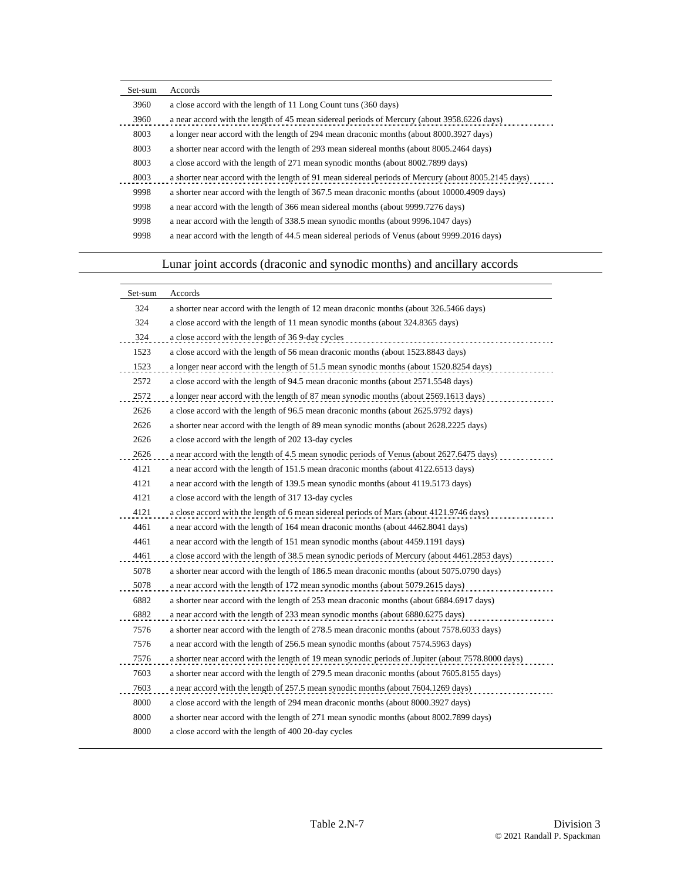| Set-sum | Accords                                                                                             |
|---------|-----------------------------------------------------------------------------------------------------|
| 3960    | a close accord with the length of 11 Long Count tuns (360 days)                                     |
| 3960    | a near accord with the length of 45 mean sidereal periods of Mercury (about 3958.6226 days)         |
| 8003    | a longer near accord with the length of 294 mean draconic months (about 8000.3927 days)             |
| 8003    | a shorter near accord with the length of 293 mean sidereal months (about 8005.2464 days)            |
| 8003    | a close accord with the length of 271 mean synodic months (about 8002.7899 days)                    |
| 8003    | a shorter near accord with the length of 91 mean sidereal periods of Mercury (about 8005.2145 days) |
| 9998    | a shorter near accord with the length of 367.5 mean draconic months (about 10000.4909 days)         |
| 9998    | a near accord with the length of 366 mean sidereal months (about 9999.7276 days)                    |
| 9998    | a near accord with the length of 338.5 mean synodic months (about 9996.1047 days)                   |
| 9998    | a near accord with the length of 44.5 mean sidereal periods of Venus (about 9999.2016 days)         |

# Lunar joint accords (draconic and synodic months) and ancillary accords

| Set-sum | Accords                                                                                            |
|---------|----------------------------------------------------------------------------------------------------|
| 324     | a shorter near accord with the length of 12 mean draconic months (about 326.5466 days)             |
| 324     | a close accord with the length of 11 mean synodic months (about 324.8365 days)                     |
| 324     | a close accord with the length of 36 9-day cycles                                                  |
| 1523    | a close accord with the length of 56 mean draconic months (about 1523.8843 days)                   |
| 1523    | a longer near accord with the length of 51.5 mean synodic months (about 1520.8254 days)            |
| 2572    | a close accord with the length of 94.5 mean draconic months (about 2571.5548 days)                 |
| 2572    | a longer near accord with the length of 87 mean synodic months (about 2569.1613 days)              |
| 2626    | a close accord with the length of 96.5 mean draconic months (about 2625.9792 days)                 |
| 2626    | a shorter near accord with the length of 89 mean synodic months (about 2628.2225 days)             |
| 2626    | a close accord with the length of 20213-day cycles                                                 |
| 2626    | a near accord with the length of 4.5 mean synodic periods of Venus (about 2627.6475 days)          |
| 4121    | a near accord with the length of 151.5 mean draconic months (about 4122.6513 days)                 |
| 4121    | a near accord with the length of 139.5 mean synodic months (about 4119.5173 days)                  |
| 4121    | a close accord with the length of 317 13-day cycles                                                |
| 4121    | a close accord with the length of 6 mean sidereal periods of Mars (about 4121.9746 days)           |
| 4461    | a near accord with the length of 164 mean draconic months (about 4462.8041 days)                   |
| 4461    | a near accord with the length of 151 mean synodic months (about 4459.1191 days)                    |
| 4461    | a close accord with the length of 38.5 mean synodic periods of Mercury (about 4461.2853 days)      |
| 5078    | a shorter near accord with the length of 186.5 mean draconic months (about 5075.0790 days)         |
| 5078    | a near accord with the length of 172 mean synodic months (about 5079.2615 days)                    |
| 6882    | a shorter near accord with the length of 253 mean draconic months (about 6884.6917 days)           |
| 6882    | a near accord with the length of 233 mean synodic months (about 6880.6275 days)                    |
| 7576    | a shorter near accord with the length of 278.5 mean draconic months (about 7578.6033 days)         |
| 7576    | a near accord with the length of 256.5 mean synodic months (about 7574.5963 days)                  |
| 7576    | a shorter near accord with the length of 19 mean synodic periods of Jupiter (about 7578.8000 days) |
| 7603    | a shorter near accord with the length of 279.5 mean draconic months (about 7605.8155 days)         |
| 7603    | a near accord with the length of 257.5 mean synodic months (about 7604.1269 days)                  |
| 8000    | a close accord with the length of 294 mean draconic months (about 8000.3927 days)                  |
| 8000    | a shorter near accord with the length of 271 mean synodic months (about 8002.7899 days)            |
| 8000    | a close accord with the length of 400 20-day cycles                                                |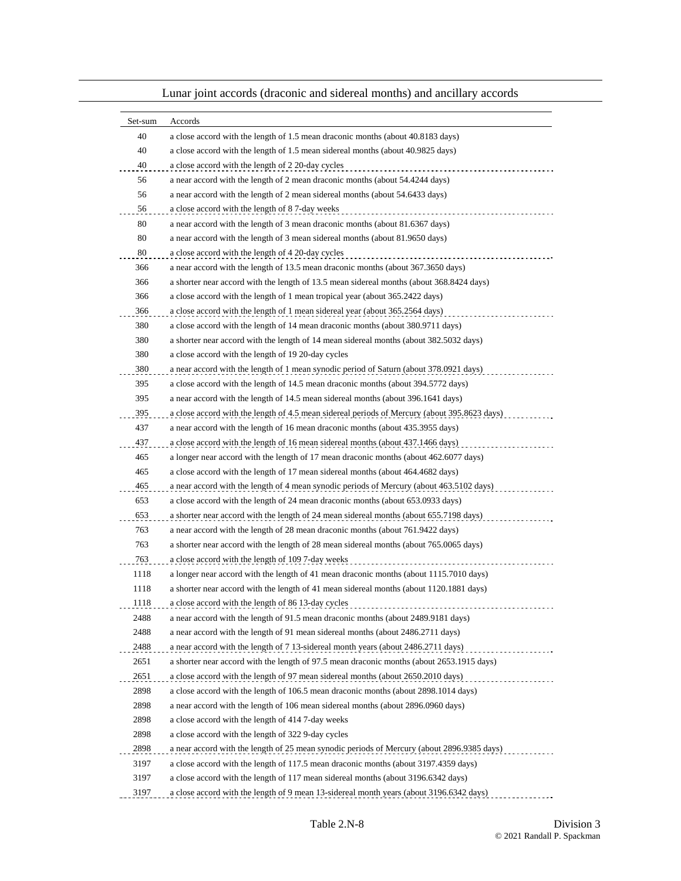| Set-sum | Accords                                                                                      |
|---------|----------------------------------------------------------------------------------------------|
| 40      | a close accord with the length of 1.5 mean draconic months (about 40.8183 days)              |
| 40      | a close accord with the length of 1.5 mean sidereal months (about 40.9825 days)              |
| 40      | a close accord with the length of 2 20-day cycles                                            |
| 56      | a near accord with the length of 2 mean draconic months (about 54.4244 days)                 |
| 56      | a near accord with the length of 2 mean sidereal months (about 54.6433 days)                 |
| 56      | a close accord with the length of 87-day weeks                                               |
| 80      | a near accord with the length of 3 mean draconic months (about 81.6367 days)                 |
| 80      | a near accord with the length of 3 mean sidereal months (about 81.9650 days)                 |
| 80      | a close accord with the length of 4 20-day cycles                                            |
| 366     | a near accord with the length of 13.5 mean draconic months (about 367.3650 days)             |
| 366     | a shorter near accord with the length of 13.5 mean sidereal months (about 368.8424 days)     |
| 366     | a close accord with the length of 1 mean tropical year (about 365.2422 days)                 |
| 366     | a close accord with the length of 1 mean sidereal year (about 365.2564 days)                 |
| 380     | a close accord with the length of 14 mean draconic months (about 380.9711 days)              |
| 380     | a shorter near accord with the length of 14 mean sidereal months (about 382.5032 days)       |
| 380     | a close accord with the length of 19 20-day cycles                                           |
| 380     | a near accord with the length of 1 mean synodic period of Saturn (about 378.0921 days)       |
| 395     | a close accord with the length of 14.5 mean draconic months (about 394.5772 days)            |
| 395     | a near accord with the length of 14.5 mean sidereal months (about 396.1641 days)             |
| 395     | a close accord with the length of 4.5 mean sidereal periods of Mercury (about 395.8623 days) |
| 437     | a near accord with the length of 16 mean draconic months (about 435.3955 days)               |
| 437     | a close accord with the length of 16 mean sidereal months (about 437.1466 days)              |
| 465     | a longer near accord with the length of 17 mean draconic months (about 462.6077 days)        |
| 465     | a close accord with the length of 17 mean sidereal months (about 464.4682 days)              |
| 465     | a near accord with the length of 4 mean synodic periods of Mercury (about 463.5102 days)     |
| 653     | a close accord with the length of 24 mean draconic months (about 653.0933 days)              |
| 653     | a shorter near accord with the length of 24 mean sidereal months (about 655.7198 days)       |
| 763     | a near accord with the length of 28 mean draconic months (about 761.9422 days)               |
| 763     | a shorter near accord with the length of 28 mean sidereal months (about 765.0065 days)       |
| 763     | a close accord with the length of 109 7-day weeks                                            |
| 1118    | a longer near accord with the length of 41 mean draconic months (about 1115.7010 days)       |
| 1118    | a shorter near accord with the length of 41 mean sidereal months (about 1120.1881 days)      |
| 1118    | a close accord with the length of 86 13-day cycles                                           |
| 2488    | a near accord with the length of 91.5 mean draconic months (about 2489.9181 days)            |
| 2488    | a near accord with the length of 91 mean sidereal months (about 2486.2711 days)              |
| 2488    | a near accord with the length of 7 13-sidereal month years (about 2486.2711 days)            |
| 2651    | a shorter near accord with the length of 97.5 mean draconic months (about 2653.1915 days)    |
| 2651    | a close accord with the length of 97 mean sidereal months (about 2650.2010 days)<br>.        |
| 2898    | a close accord with the length of 106.5 mean draconic months (about 2898.1014 days)          |
| 2898    | a near accord with the length of 106 mean sidereal months (about 2896.0960 days)             |
| 2898    | a close accord with the length of 414 7-day weeks                                            |
| 2898    | a close accord with the length of 322 9-day cycles                                           |
| 2898    | a near accord with the length of 25 mean synodic periods of Mercury (about 2896.9385 days)   |
| 3197    | a close accord with the length of 117.5 mean draconic months (about 3197.4359 days)          |
| 3197    | a close accord with the length of 117 mean sidereal months (about 3196.6342 days)            |
| 3197    | a close accord with the length of 9 mean 13-sidereal month years (about 3196.6342 days)      |

# Lunar joint accords (draconic and sidereal months) and ancillary accords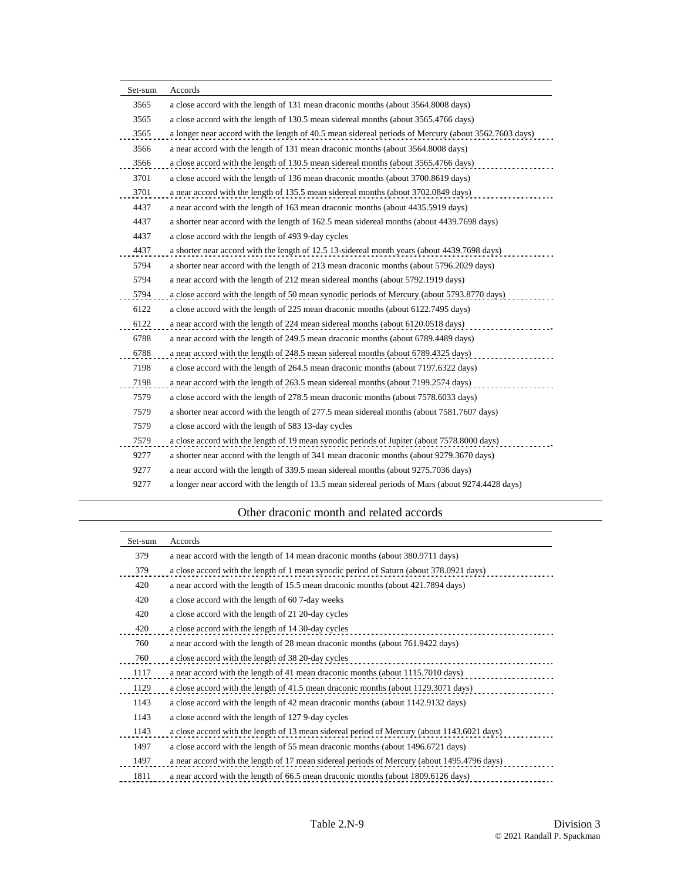| Set-sum | Accords                                                                                              |
|---------|------------------------------------------------------------------------------------------------------|
| 3565    | a close accord with the length of 131 mean draconic months (about 3564.8008 days)                    |
| 3565    | a close accord with the length of 130.5 mean sidereal months (about 3565.4766 days)                  |
| 3565    | a longer near accord with the length of 40.5 mean sidereal periods of Mercury (about 3562.7603 days) |
| 3566    | a near accord with the length of 131 mean draconic months (about 3564.8008 days)                     |
| 3566    | a close accord with the length of 130.5 mean sidereal months (about 3565.4766 days)                  |
| 3701    | a close accord with the length of 136 mean draconic months (about 3700.8619 days)                    |
| 3701    | a near accord with the length of 135.5 mean sidereal months (about 3702.0849 days)                   |
| 4437    | a near accord with the length of 163 mean draconic months (about 4435.5919 days)                     |
| 4437    | a shorter near accord with the length of 162.5 mean sidereal months (about 4439.7698 days)           |
| 4437    | a close accord with the length of 493 9-day cycles                                                   |
| 4437    | a shorter near accord with the length of 12.5 13-sidereal month years (about 4439.7698 days)         |
| 5794    | a shorter near accord with the length of 213 mean draconic months (about 5796.2029 days)             |
| 5794    | a near accord with the length of 212 mean sidereal months (about 5792.1919 days)                     |
| 5794    | a close accord with the length of 50 mean synodic periods of Mercury (about 5793.8770 days)          |
| 6122    | a close accord with the length of 225 mean draconic months (about 6122.7495 days)                    |
| 6122    | a near accord with the length of 224 mean sidereal months (about 6120.0518 days)                     |
| 6788    | a near accord with the length of 249.5 mean draconic months (about 6789.4489 days)                   |
| 6788    | a near accord with the length of 248.5 mean sidereal months (about 6789.4325 days)                   |
| 7198    | a close accord with the length of 264.5 mean draconic months (about 7197.6322 days)                  |
| 7198    | a near accord with the length of 263.5 mean sidereal months (about 7199.2574 days)                   |
| 7579    | a close accord with the length of 278.5 mean draconic months (about 7578.6033 days)                  |
| 7579    | a shorter near accord with the length of 277.5 mean sidereal months (about 7581.7607 days)           |
| 7579    | a close accord with the length of 583 13-day cycles                                                  |
| 7579    | a close accord with the length of 19 mean synodic periods of Jupiter (about 7578.8000 days)          |
| 9277    | a shorter near accord with the length of 341 mean draconic months (about 9279.3670 days)             |
| 9277    | a near accord with the length of 339.5 mean sidereal months (about 9275.7036 days)                   |
| 9277    | a longer near accord with the length of 13.5 mean sidereal periods of Mars (about 9274.4428 days)    |

## Other draconic month and related accords

| Set-sum | Accords                                                                                     |
|---------|---------------------------------------------------------------------------------------------|
| 379     | a near accord with the length of 14 mean draconic months (about 380.9711 days)              |
| 379     | a close accord with the length of 1 mean synodic period of Saturn (about 378.0921 days)     |
| 420     | a near accord with the length of 15.5 mean draconic months (about 421.7894 days)            |
| 420     | a close accord with the length of 60 7-day weeks                                            |
| 420     | a close accord with the length of 21 20-day cycles                                          |
| 420     | a close accord with the length of 14 30-day cycles                                          |
| 760     | a near accord with the length of 28 mean draconic months (about 761.9422 days)              |
| 760     | a close accord with the length of 38 20-day cycles                                          |
| 1117    | a near accord with the length of 41 mean draconic months (about 1115.7010 days)             |
| 1129    | a close accord with the length of 41.5 mean draconic months (about 1129.3071 days)          |
| 1143    | a close accord with the length of 42 mean draconic months (about 1142.9132 days)            |
| 1143    | a close accord with the length of 1279-day cycles                                           |
| 1143    | a close accord with the length of 13 mean sidereal period of Mercury (about 1143.6021 days) |
| 1497    | a close accord with the length of 55 mean draconic months (about 1496.6721 days)            |
| 1497    | a near accord with the length of 17 mean sidereal periods of Mercury (about 1495.4796 days) |
| 1811    | a near accord with the length of 66.5 mean draconic months (about 1809.6126 days)           |
|         |                                                                                             |